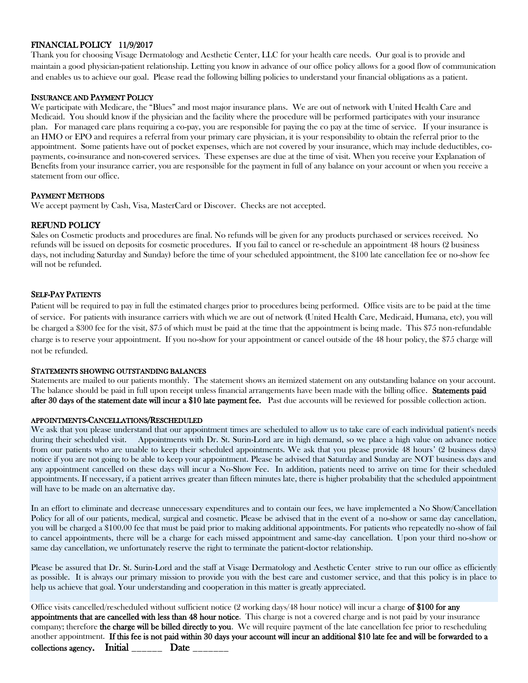# FINANCIAL POLICY 11/9/2017

Thank you for choosing Visage Dermatology and Aesthetic Center, LLC for your health care needs. Our goal is to provide and maintain a good physician-patient relationship. Letting you know in advance of our office policy allows for a good flow of communication and enables us to achieve our goal. Please read the following billing policies to understand your financial obligations as a patient.

## INSURANCE AND PAYMENT POLICY

We participate with Medicare, the "Blues" and most major insurance plans. We are out of network with United Health Care and Medicaid. You should know if the physician and the facility where the procedure will be performed participates with your insurance plan. For managed care plans requiring a co-pay, you are responsible for paying the co pay at the time of service. If your insurance is an HMO or EPO and requires a referral from your primary care physician, it is your responsibility to obtain the referral prior to the appointment. Some patients have out of pocket expenses, which are not covered by your insurance, which may include deductibles, copayments, co-insurance and non-covered services. These expenses are due at the time of visit. When you receive your Explanation of Benefits from your insurance carrier, you are responsible for the payment in full of any balance on your account or when you receive a statement from our office.

## PAYMENT METHODS

We accept payment by Cash, Visa, MasterCard or Discover. Checks are not accepted.

# REFUND POLICY

Sales on Cosmetic products and procedures are final. No refunds will be given for any products purchased or services received. No refunds will be issued on deposits for cosmetic procedures. If you fail to cancel or re-schedule an appointment 48 hours (2 business days, not including Saturday and Sunday) before the time of your scheduled appointment, the \$100 late cancellation fee or no-show fee will not be refunded.

## SELF-PAY PATIENTS

Patient will be required to pay in full the estimated charges prior to procedures being performed. Office visits are to be paid at the time of service. For patients with insurance carriers with which we are out of network (United Health Care, Medicaid, Humana, etc), you will be charged a \$300 fee for the visit, \$75 of which must be paid at the time that the appointment is being made. This \$75 non-refundable charge is to reserve your appointment. If you no-show for your appointment or cancel outside of the 48 hour policy, the \$75 charge will not be refunded.

#### STATEMENTS SHOWING OUTSTANDING BALANCES

Statements are mailed to our patients monthly. The statement shows an itemized statement on any outstanding balance on your account. The balance should be paid in full upon receipt unless financial arrangements have been made with the billing office. **Statements paid** after 30 days of the statement date will incur a \$10 late payment fee. Past due accounts will be reviewed for possible collection action.

#### APPOINTMENTS-CANCELLATIONS/RESCHEDULED

We ask that you please understand that our appointment times are scheduled to allow us to take care of each individual patient's needs during their scheduled visit. Appointments with Dr. St. Surin-Lord are in high demand, so we place a high value on advance notice from our patients who are unable to keep their scheduled appointments. We ask that you please provide 48 hours' (2 business days) notice if you are not going to be able to keep your appointment. Please be advised that Saturday and Sunday are NOT business days and any appointment cancelled on these days will incur a No-Show Fee. In addition, patients need to arrive on time for their scheduled appointments. If necessary, if a patient arrives greater than fifteen minutes late, there is higher probability that the scheduled appointment will have to be made on an alternative day.

In an effort to eliminate and decrease unnecessary expenditures and to contain our fees, we have implemented a No Show/Cancellation Policy for all of our patients, medical, surgical and cosmetic. Please be advised that in the event of a no-show or same day cancellation, you will be charged a \$100.00 fee that must be paid prior to making additional appointments. For patients who repeatedly no-show of fail to cancel appointments, there will be a charge for each missed appointment and same-day cancellation. Upon your third no-show or same day cancellation, we unfortunately reserve the right to terminate the patient-doctor relationship.

Please be assured that Dr. St. Surin-Lord and the staff at Visage Dermatology and Aesthetic Center strive to run our office as efficiently as possible. It is always our primary mission to provide you with the best care and customer service, and that this policy is in place to help us achieve that goal. Your understanding and cooperation in this matter is greatly appreciated.

Office visits cancelled/rescheduled without sufficient notice (2 working days/48 hour notice) will incur a charge of \$100 for any appointments that are cancelled with less than 48 hour notice. This charge is not a covered charge and is not paid by your insurance company; therefore the charge will be billed directly to you. We will require payment of the late cancellation fee prior to rescheduling another appointment. If this fee is not paid within 30 days your account will incur an additional \$10 late fee and will be forwarded to a collections agency. Initial Date